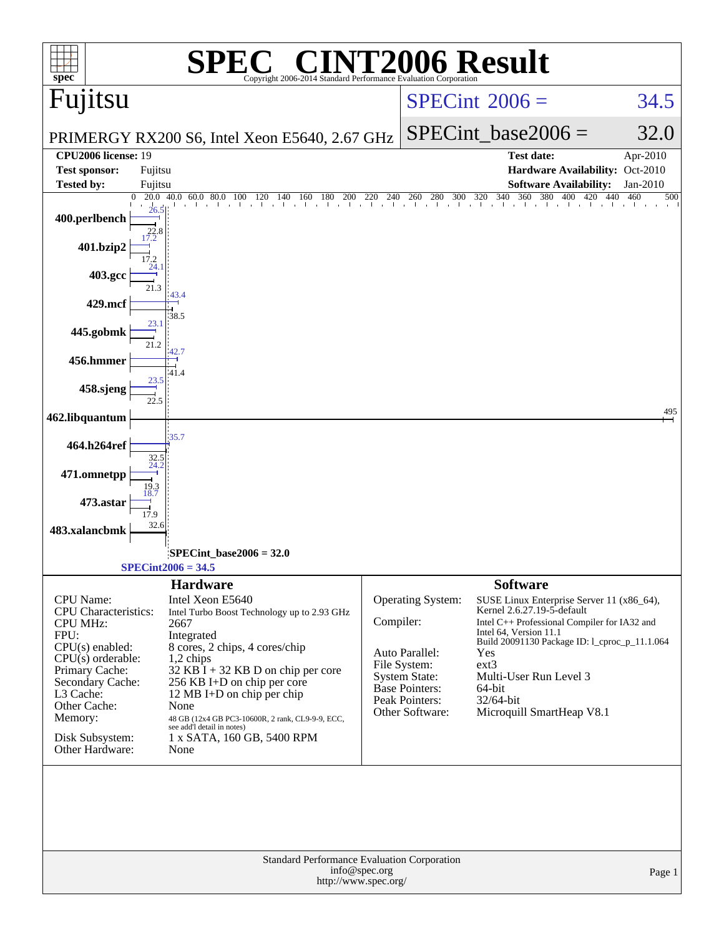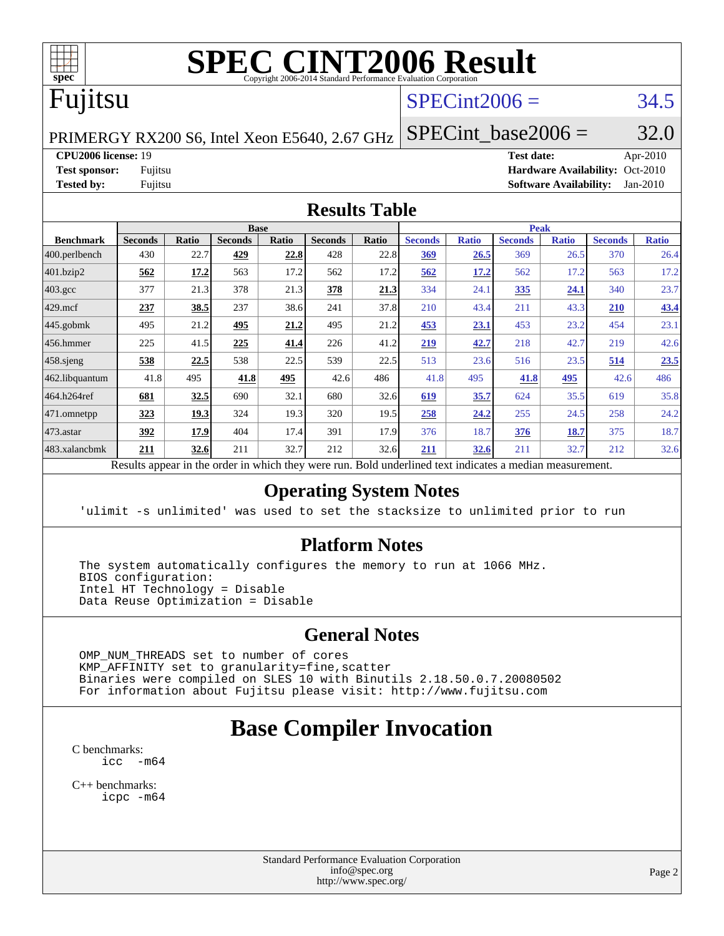

# **[SPEC CINT2006 Result](http://www.spec.org/auto/cpu2006/Docs/result-fields.html#SPECCINT2006Result)**

# Fujitsu

#### $SPECint2006 = 34.5$  $SPECint2006 = 34.5$

PRIMERGY RX200 S6, Intel Xeon E5640, 2.67 GHz

SPECint base2006 =  $32.0$ 

**[CPU2006 license:](http://www.spec.org/auto/cpu2006/Docs/result-fields.html#CPU2006license)** 19 **[Test date:](http://www.spec.org/auto/cpu2006/Docs/result-fields.html#Testdate)** Apr-2010 **[Test sponsor:](http://www.spec.org/auto/cpu2006/Docs/result-fields.html#Testsponsor)** Fujitsu **[Hardware Availability:](http://www.spec.org/auto/cpu2006/Docs/result-fields.html#HardwareAvailability)** Oct-2010 **[Tested by:](http://www.spec.org/auto/cpu2006/Docs/result-fields.html#Testedby)** Fujitsu **[Software Availability:](http://www.spec.org/auto/cpu2006/Docs/result-fields.html#SoftwareAvailability)** Jan-2010

#### **[Results Table](http://www.spec.org/auto/cpu2006/Docs/result-fields.html#ResultsTable)**

|                    | <b>Base</b>    |              |                |              |                |       | <b>Peak</b>    |              |                |              |                |              |  |
|--------------------|----------------|--------------|----------------|--------------|----------------|-------|----------------|--------------|----------------|--------------|----------------|--------------|--|
| <b>Benchmark</b>   | <b>Seconds</b> | <b>Ratio</b> | <b>Seconds</b> | <b>Ratio</b> | <b>Seconds</b> | Ratio | <b>Seconds</b> | <b>Ratio</b> | <b>Seconds</b> | <b>Ratio</b> | <b>Seconds</b> | <b>Ratio</b> |  |
| 400.perlbench      | 430            | 22.7         | 429            | 22.8         | 428            | 22.8  | <u>369</u>     | 26.5         | 369            | 26.5         | 370            | 26.4         |  |
| 401.bzip2          | 562            | 17.2         | 563            | 17.2         | 562            | 17.2  | 562            | 17.2         | 562            | 17.2         | 563            | 17.2         |  |
| $403.\mathrm{gcc}$ | 377            | 21.3         | 378            | 21.3         | 378            | 21.3  | 334            | 24.1         | <u>335</u>     | 24.1         | 340            | 23.7         |  |
| $429$ .mcf         | 237            | 38.5         | 237            | 38.6         | 241            | 37.8  | 210            | 43.4         | 211            | 43.3         | 210            | 43.4         |  |
| $445$ .gobmk       | 495            | 21.2         | 495            | 21.2         | 495            | 21.2  | 453            | 23.1         | 453            | 23.2         | 454            | 23.1         |  |
| $456.$ hmmer       | 225            | 41.5         | 225            | 41.4         | 226            | 41.2  | 219            | 42.7         | 218            | 42.7         | 219            | 42.6         |  |
| $458$ .sjeng       | 538            | 22.5         | 538            | 22.5         | 539            | 22.5  | 513            | 23.6         | 516            | 23.5         | 514            | 23.5         |  |
| 462.libquantum     | 41.8           | 495          | 41.8           | 495          | 42.6           | 486   | 41.8           | 495          | 41.8           | 495          | 42.6           | 486          |  |
| 464.h264ref        | 681            | 32.5         | 690            | 32.1         | 680            | 32.6  | 619            | 35.7         | 624            | 35.5         | 619            | 35.8         |  |
| 471.omnetpp        | 323            | 19.3         | 324            | 19.3         | 320            | 19.5  | 258            | 24.2         | 255            | 24.5         | 258            | 24.2         |  |
| $473$ . astar      | 392            | 17.9         | 404            | 17.4         | 391            | 17.9  | 376            | 18.7         | 376            | 18.7         | 375            | 18.7         |  |
| 483.xalancbmk      | 211            | 32.6         | 211            | 32.7         | 212            | 32.6  | 211            | 32.6         | 211            | 32.7         | 212            | 32.6         |  |

Results appear in the [order in which they were run.](http://www.spec.org/auto/cpu2006/Docs/result-fields.html#RunOrder) Bold underlined text [indicates a median measurement.](http://www.spec.org/auto/cpu2006/Docs/result-fields.html#Median)

#### **[Operating System Notes](http://www.spec.org/auto/cpu2006/Docs/result-fields.html#OperatingSystemNotes)**

'ulimit -s unlimited' was used to set the stacksize to unlimited prior to run

#### **[Platform Notes](http://www.spec.org/auto/cpu2006/Docs/result-fields.html#PlatformNotes)**

 The system automatically configures the memory to run at 1066 MHz. BIOS configuration: Intel HT Technology = Disable Data Reuse Optimization = Disable

#### **[General Notes](http://www.spec.org/auto/cpu2006/Docs/result-fields.html#GeneralNotes)**

 OMP\_NUM\_THREADS set to number of cores KMP\_AFFINITY set to granularity=fine,scatter Binaries were compiled on SLES 10 with Binutils 2.18.50.0.7.20080502 For information about Fujitsu please visit: <http://www.fujitsu.com>

## **[Base Compiler Invocation](http://www.spec.org/auto/cpu2006/Docs/result-fields.html#BaseCompilerInvocation)**

[C benchmarks](http://www.spec.org/auto/cpu2006/Docs/result-fields.html#Cbenchmarks): [icc -m64](http://www.spec.org/cpu2006/results/res2010q3/cpu2006-20100706-12316.flags.html#user_CCbase_intel_icc_64bit_f346026e86af2a669e726fe758c88044)

[C++ benchmarks:](http://www.spec.org/auto/cpu2006/Docs/result-fields.html#CXXbenchmarks) [icpc -m64](http://www.spec.org/cpu2006/results/res2010q3/cpu2006-20100706-12316.flags.html#user_CXXbase_intel_icpc_64bit_fc66a5337ce925472a5c54ad6a0de310)

> Standard Performance Evaluation Corporation [info@spec.org](mailto:info@spec.org) <http://www.spec.org/>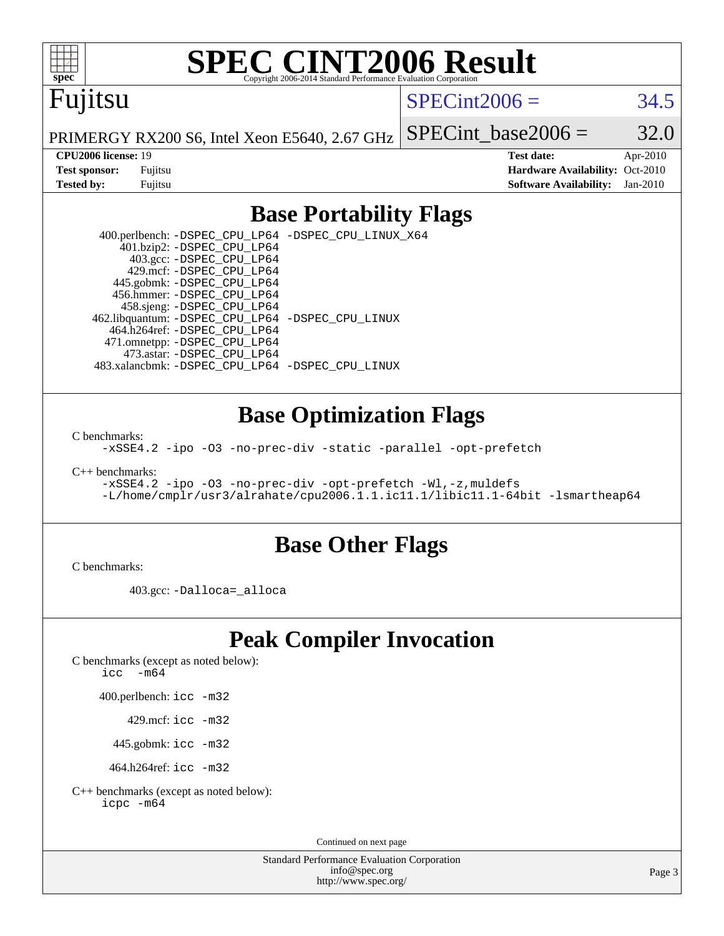

# **[SPEC CINT2006 Result](http://www.spec.org/auto/cpu2006/Docs/result-fields.html#SPECCINT2006Result)**

# Fujitsu

 $SPECint2006 = 34.5$  $SPECint2006 = 34.5$ 

PRIMERGY RX200 S6, Intel Xeon E5640, 2.67 GHz

**[CPU2006 license:](http://www.spec.org/auto/cpu2006/Docs/result-fields.html#CPU2006license)** 19 **[Test date:](http://www.spec.org/auto/cpu2006/Docs/result-fields.html#Testdate)** Apr-2010 **[Test sponsor:](http://www.spec.org/auto/cpu2006/Docs/result-fields.html#Testsponsor)** Fujitsu **[Hardware Availability:](http://www.spec.org/auto/cpu2006/Docs/result-fields.html#HardwareAvailability)** Oct-2010 **[Tested by:](http://www.spec.org/auto/cpu2006/Docs/result-fields.html#Testedby)** Fujitsu **[Software Availability:](http://www.spec.org/auto/cpu2006/Docs/result-fields.html#SoftwareAvailability)** Jan-2010

SPECint base2006 =  $32.0$ 

#### **[Base Portability Flags](http://www.spec.org/auto/cpu2006/Docs/result-fields.html#BasePortabilityFlags)**

 400.perlbench: [-DSPEC\\_CPU\\_LP64](http://www.spec.org/cpu2006/results/res2010q3/cpu2006-20100706-12316.flags.html#b400.perlbench_basePORTABILITY_DSPEC_CPU_LP64) [-DSPEC\\_CPU\\_LINUX\\_X64](http://www.spec.org/cpu2006/results/res2010q3/cpu2006-20100706-12316.flags.html#b400.perlbench_baseCPORTABILITY_DSPEC_CPU_LINUX_X64) 401.bzip2: [-DSPEC\\_CPU\\_LP64](http://www.spec.org/cpu2006/results/res2010q3/cpu2006-20100706-12316.flags.html#suite_basePORTABILITY401_bzip2_DSPEC_CPU_LP64) 403.gcc: [-DSPEC\\_CPU\\_LP64](http://www.spec.org/cpu2006/results/res2010q3/cpu2006-20100706-12316.flags.html#suite_basePORTABILITY403_gcc_DSPEC_CPU_LP64) 429.mcf: [-DSPEC\\_CPU\\_LP64](http://www.spec.org/cpu2006/results/res2010q3/cpu2006-20100706-12316.flags.html#suite_basePORTABILITY429_mcf_DSPEC_CPU_LP64) 445.gobmk: [-DSPEC\\_CPU\\_LP64](http://www.spec.org/cpu2006/results/res2010q3/cpu2006-20100706-12316.flags.html#suite_basePORTABILITY445_gobmk_DSPEC_CPU_LP64) 456.hmmer: [-DSPEC\\_CPU\\_LP64](http://www.spec.org/cpu2006/results/res2010q3/cpu2006-20100706-12316.flags.html#suite_basePORTABILITY456_hmmer_DSPEC_CPU_LP64) 458.sjeng: [-DSPEC\\_CPU\\_LP64](http://www.spec.org/cpu2006/results/res2010q3/cpu2006-20100706-12316.flags.html#suite_basePORTABILITY458_sjeng_DSPEC_CPU_LP64) 462.libquantum: [-DSPEC\\_CPU\\_LP64](http://www.spec.org/cpu2006/results/res2010q3/cpu2006-20100706-12316.flags.html#suite_basePORTABILITY462_libquantum_DSPEC_CPU_LP64) [-DSPEC\\_CPU\\_LINUX](http://www.spec.org/cpu2006/results/res2010q3/cpu2006-20100706-12316.flags.html#b462.libquantum_baseCPORTABILITY_DSPEC_CPU_LINUX) 464.h264ref: [-DSPEC\\_CPU\\_LP64](http://www.spec.org/cpu2006/results/res2010q3/cpu2006-20100706-12316.flags.html#suite_basePORTABILITY464_h264ref_DSPEC_CPU_LP64) 471.omnetpp: [-DSPEC\\_CPU\\_LP64](http://www.spec.org/cpu2006/results/res2010q3/cpu2006-20100706-12316.flags.html#suite_basePORTABILITY471_omnetpp_DSPEC_CPU_LP64) 473.astar: [-DSPEC\\_CPU\\_LP64](http://www.spec.org/cpu2006/results/res2010q3/cpu2006-20100706-12316.flags.html#suite_basePORTABILITY473_astar_DSPEC_CPU_LP64) 483.xalancbmk: [-DSPEC\\_CPU\\_LP64](http://www.spec.org/cpu2006/results/res2010q3/cpu2006-20100706-12316.flags.html#suite_basePORTABILITY483_xalancbmk_DSPEC_CPU_LP64) [-DSPEC\\_CPU\\_LINUX](http://www.spec.org/cpu2006/results/res2010q3/cpu2006-20100706-12316.flags.html#b483.xalancbmk_baseCXXPORTABILITY_DSPEC_CPU_LINUX)

#### **[Base Optimization Flags](http://www.spec.org/auto/cpu2006/Docs/result-fields.html#BaseOptimizationFlags)**

[C benchmarks](http://www.spec.org/auto/cpu2006/Docs/result-fields.html#Cbenchmarks):

[-xSSE4.2](http://www.spec.org/cpu2006/results/res2010q3/cpu2006-20100706-12316.flags.html#user_CCbase_f-xSSE42_f91528193cf0b216347adb8b939d4107) [-ipo](http://www.spec.org/cpu2006/results/res2010q3/cpu2006-20100706-12316.flags.html#user_CCbase_f-ipo) [-O3](http://www.spec.org/cpu2006/results/res2010q3/cpu2006-20100706-12316.flags.html#user_CCbase_f-O3) [-no-prec-div](http://www.spec.org/cpu2006/results/res2010q3/cpu2006-20100706-12316.flags.html#user_CCbase_f-no-prec-div) [-static](http://www.spec.org/cpu2006/results/res2010q3/cpu2006-20100706-12316.flags.html#user_CCbase_f-static) [-parallel](http://www.spec.org/cpu2006/results/res2010q3/cpu2006-20100706-12316.flags.html#user_CCbase_f-parallel) [-opt-prefetch](http://www.spec.org/cpu2006/results/res2010q3/cpu2006-20100706-12316.flags.html#user_CCbase_f-opt-prefetch)

[C++ benchmarks:](http://www.spec.org/auto/cpu2006/Docs/result-fields.html#CXXbenchmarks)

[-xSSE4.2](http://www.spec.org/cpu2006/results/res2010q3/cpu2006-20100706-12316.flags.html#user_CXXbase_f-xSSE42_f91528193cf0b216347adb8b939d4107) [-ipo](http://www.spec.org/cpu2006/results/res2010q3/cpu2006-20100706-12316.flags.html#user_CXXbase_f-ipo) [-O3](http://www.spec.org/cpu2006/results/res2010q3/cpu2006-20100706-12316.flags.html#user_CXXbase_f-O3) [-no-prec-div](http://www.spec.org/cpu2006/results/res2010q3/cpu2006-20100706-12316.flags.html#user_CXXbase_f-no-prec-div) [-opt-prefetch](http://www.spec.org/cpu2006/results/res2010q3/cpu2006-20100706-12316.flags.html#user_CXXbase_f-opt-prefetch) [-Wl,-z,muldefs](http://www.spec.org/cpu2006/results/res2010q3/cpu2006-20100706-12316.flags.html#user_CXXbase_link_force_multiple1_74079c344b956b9658436fd1b6dd3a8a) [-L/home/cmplr/usr3/alrahate/cpu2006.1.1.ic11.1/libic11.1-64bit -lsmartheap64](http://www.spec.org/cpu2006/results/res2010q3/cpu2006-20100706-12316.flags.html#user_CXXbase_SmartHeap64_e2306cda84805d1ab360117a79ff779c)

#### **[Base Other Flags](http://www.spec.org/auto/cpu2006/Docs/result-fields.html#BaseOtherFlags)**

[C benchmarks](http://www.spec.org/auto/cpu2006/Docs/result-fields.html#Cbenchmarks):

403.gcc: [-Dalloca=\\_alloca](http://www.spec.org/cpu2006/results/res2010q3/cpu2006-20100706-12316.flags.html#b403.gcc_baseEXTRA_CFLAGS_Dalloca_be3056838c12de2578596ca5467af7f3)

## **[Peak Compiler Invocation](http://www.spec.org/auto/cpu2006/Docs/result-fields.html#PeakCompilerInvocation)**

[C benchmarks \(except as noted below\)](http://www.spec.org/auto/cpu2006/Docs/result-fields.html#Cbenchmarksexceptasnotedbelow):

icc  $-m64$ 

400.perlbench: [icc -m32](http://www.spec.org/cpu2006/results/res2010q3/cpu2006-20100706-12316.flags.html#user_peakCCLD400_perlbench_intel_icc_32bit_a6a621f8d50482236b970c6ac5f55f93)

429.mcf: [icc -m32](http://www.spec.org/cpu2006/results/res2010q3/cpu2006-20100706-12316.flags.html#user_peakCCLD429_mcf_intel_icc_32bit_a6a621f8d50482236b970c6ac5f55f93)

445.gobmk: [icc -m32](http://www.spec.org/cpu2006/results/res2010q3/cpu2006-20100706-12316.flags.html#user_peakCCLD445_gobmk_intel_icc_32bit_a6a621f8d50482236b970c6ac5f55f93)

464.h264ref: [icc -m32](http://www.spec.org/cpu2006/results/res2010q3/cpu2006-20100706-12316.flags.html#user_peakCCLD464_h264ref_intel_icc_32bit_a6a621f8d50482236b970c6ac5f55f93)

[C++ benchmarks \(except as noted below\):](http://www.spec.org/auto/cpu2006/Docs/result-fields.html#CXXbenchmarksexceptasnotedbelow) [icpc -m64](http://www.spec.org/cpu2006/results/res2010q3/cpu2006-20100706-12316.flags.html#user_CXXpeak_intel_icpc_64bit_fc66a5337ce925472a5c54ad6a0de310)

Continued on next page

Standard Performance Evaluation Corporation [info@spec.org](mailto:info@spec.org) <http://www.spec.org/>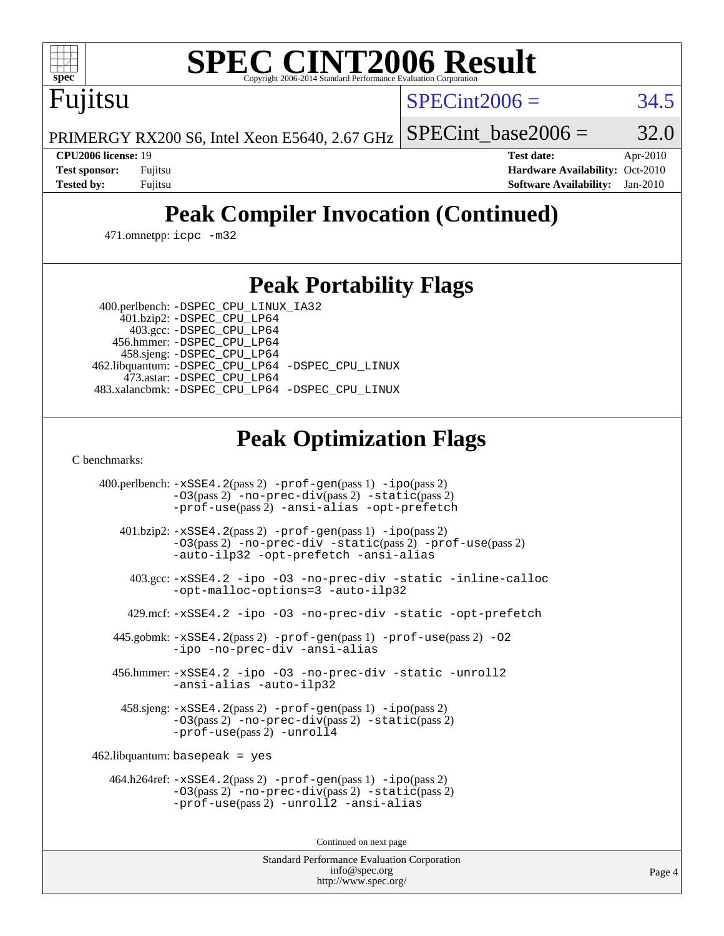

# **[SPEC CINT2006 Result](http://www.spec.org/auto/cpu2006/Docs/result-fields.html#SPECCINT2006Result)**

Fujitsu

 $SPECint2006 = 34.5$  $SPECint2006 = 34.5$ 

PRIMERGY RX200 S6, Intel Xeon E5640, 2.67 GHz SPECint base2006 =  $32.0$ 

**[CPU2006 license:](http://www.spec.org/auto/cpu2006/Docs/result-fields.html#CPU2006license)** 19 **[Test date:](http://www.spec.org/auto/cpu2006/Docs/result-fields.html#Testdate)** Apr-2010 **[Test sponsor:](http://www.spec.org/auto/cpu2006/Docs/result-fields.html#Testsponsor)** Fujitsu **[Hardware Availability:](http://www.spec.org/auto/cpu2006/Docs/result-fields.html#HardwareAvailability)** Oct-2010 **[Tested by:](http://www.spec.org/auto/cpu2006/Docs/result-fields.html#Testedby)** Fujitsu **[Software Availability:](http://www.spec.org/auto/cpu2006/Docs/result-fields.html#SoftwareAvailability)** Jan-2010

# **[Peak Compiler Invocation \(Continued\)](http://www.spec.org/auto/cpu2006/Docs/result-fields.html#PeakCompilerInvocation)**

471.omnetpp: [icpc -m32](http://www.spec.org/cpu2006/results/res2010q3/cpu2006-20100706-12316.flags.html#user_peakCXXLD471_omnetpp_intel_icpc_32bit_4e5a5ef1a53fd332b3c49e69c3330699)

#### **[Peak Portability Flags](http://www.spec.org/auto/cpu2006/Docs/result-fields.html#PeakPortabilityFlags)**

400.perlbench: [-DSPEC\\_CPU\\_LINUX\\_IA32](http://www.spec.org/cpu2006/results/res2010q3/cpu2006-20100706-12316.flags.html#b400.perlbench_peakCPORTABILITY_DSPEC_CPU_LINUX_IA32)

 401.bzip2: [-DSPEC\\_CPU\\_LP64](http://www.spec.org/cpu2006/results/res2010q3/cpu2006-20100706-12316.flags.html#suite_peakPORTABILITY401_bzip2_DSPEC_CPU_LP64) 403.gcc: [-DSPEC\\_CPU\\_LP64](http://www.spec.org/cpu2006/results/res2010q3/cpu2006-20100706-12316.flags.html#suite_peakPORTABILITY403_gcc_DSPEC_CPU_LP64) 456.hmmer: [-DSPEC\\_CPU\\_LP64](http://www.spec.org/cpu2006/results/res2010q3/cpu2006-20100706-12316.flags.html#suite_peakPORTABILITY456_hmmer_DSPEC_CPU_LP64) 458.sjeng: [-DSPEC\\_CPU\\_LP64](http://www.spec.org/cpu2006/results/res2010q3/cpu2006-20100706-12316.flags.html#suite_peakPORTABILITY458_sjeng_DSPEC_CPU_LP64) 462.libquantum: [-DSPEC\\_CPU\\_LP64](http://www.spec.org/cpu2006/results/res2010q3/cpu2006-20100706-12316.flags.html#suite_peakPORTABILITY462_libquantum_DSPEC_CPU_LP64) [-DSPEC\\_CPU\\_LINUX](http://www.spec.org/cpu2006/results/res2010q3/cpu2006-20100706-12316.flags.html#b462.libquantum_peakCPORTABILITY_DSPEC_CPU_LINUX) 473.astar: [-DSPEC\\_CPU\\_LP64](http://www.spec.org/cpu2006/results/res2010q3/cpu2006-20100706-12316.flags.html#suite_peakPORTABILITY473_astar_DSPEC_CPU_LP64) 483.xalancbmk: [-DSPEC\\_CPU\\_LP64](http://www.spec.org/cpu2006/results/res2010q3/cpu2006-20100706-12316.flags.html#suite_peakPORTABILITY483_xalancbmk_DSPEC_CPU_LP64) [-DSPEC\\_CPU\\_LINUX](http://www.spec.org/cpu2006/results/res2010q3/cpu2006-20100706-12316.flags.html#b483.xalancbmk_peakCXXPORTABILITY_DSPEC_CPU_LINUX)

## **[Peak Optimization Flags](http://www.spec.org/auto/cpu2006/Docs/result-fields.html#PeakOptimizationFlags)**

[C benchmarks](http://www.spec.org/auto/cpu2006/Docs/result-fields.html#Cbenchmarks):

 400.perlbench: [-xSSE4.2](http://www.spec.org/cpu2006/results/res2010q3/cpu2006-20100706-12316.flags.html#user_peakPASS2_CFLAGSPASS2_LDCFLAGS400_perlbench_f-xSSE42_f91528193cf0b216347adb8b939d4107)(pass 2) [-prof-gen](http://www.spec.org/cpu2006/results/res2010q3/cpu2006-20100706-12316.flags.html#user_peakPASS1_CFLAGSPASS1_LDCFLAGS400_perlbench_prof_gen_e43856698f6ca7b7e442dfd80e94a8fc)(pass 1) [-ipo](http://www.spec.org/cpu2006/results/res2010q3/cpu2006-20100706-12316.flags.html#user_peakPASS2_CFLAGSPASS2_LDCFLAGS400_perlbench_f-ipo)(pass 2) [-O3](http://www.spec.org/cpu2006/results/res2010q3/cpu2006-20100706-12316.flags.html#user_peakPASS2_CFLAGSPASS2_LDCFLAGS400_perlbench_f-O3)(pass 2) [-no-prec-div](http://www.spec.org/cpu2006/results/res2010q3/cpu2006-20100706-12316.flags.html#user_peakPASS2_CFLAGSPASS2_LDCFLAGS400_perlbench_f-no-prec-div)(pass 2) [-static](http://www.spec.org/cpu2006/results/res2010q3/cpu2006-20100706-12316.flags.html#user_peakPASS2_CFLAGSPASS2_LDCFLAGS400_perlbench_f-static)(pass 2) [-prof-use](http://www.spec.org/cpu2006/results/res2010q3/cpu2006-20100706-12316.flags.html#user_peakPASS2_CFLAGSPASS2_LDCFLAGS400_perlbench_prof_use_bccf7792157ff70d64e32fe3e1250b55)(pass 2) [-ansi-alias](http://www.spec.org/cpu2006/results/res2010q3/cpu2006-20100706-12316.flags.html#user_peakCOPTIMIZE400_perlbench_f-ansi-alias) [-opt-prefetch](http://www.spec.org/cpu2006/results/res2010q3/cpu2006-20100706-12316.flags.html#user_peakCOPTIMIZE400_perlbench_f-opt-prefetch) 401.bzip2: [-xSSE4.2](http://www.spec.org/cpu2006/results/res2010q3/cpu2006-20100706-12316.flags.html#user_peakPASS2_CFLAGSPASS2_LDCFLAGS401_bzip2_f-xSSE42_f91528193cf0b216347adb8b939d4107)(pass 2) [-prof-gen](http://www.spec.org/cpu2006/results/res2010q3/cpu2006-20100706-12316.flags.html#user_peakPASS1_CFLAGSPASS1_LDCFLAGS401_bzip2_prof_gen_e43856698f6ca7b7e442dfd80e94a8fc)(pass 1) [-ipo](http://www.spec.org/cpu2006/results/res2010q3/cpu2006-20100706-12316.flags.html#user_peakPASS2_CFLAGSPASS2_LDCFLAGS401_bzip2_f-ipo)(pass 2) [-O3](http://www.spec.org/cpu2006/results/res2010q3/cpu2006-20100706-12316.flags.html#user_peakPASS2_CFLAGSPASS2_LDCFLAGS401_bzip2_f-O3)(pass 2) [-no-prec-div](http://www.spec.org/cpu2006/results/res2010q3/cpu2006-20100706-12316.flags.html#user_peakCOPTIMIZEPASS2_CFLAGSPASS2_LDCFLAGS401_bzip2_f-no-prec-div) [-static](http://www.spec.org/cpu2006/results/res2010q3/cpu2006-20100706-12316.flags.html#user_peakPASS2_CFLAGSPASS2_LDCFLAGS401_bzip2_f-static)(pass 2) [-prof-use](http://www.spec.org/cpu2006/results/res2010q3/cpu2006-20100706-12316.flags.html#user_peakPASS2_CFLAGSPASS2_LDCFLAGS401_bzip2_prof_use_bccf7792157ff70d64e32fe3e1250b55)(pass 2) [-auto-ilp32](http://www.spec.org/cpu2006/results/res2010q3/cpu2006-20100706-12316.flags.html#user_peakCOPTIMIZE401_bzip2_f-auto-ilp32) [-opt-prefetch](http://www.spec.org/cpu2006/results/res2010q3/cpu2006-20100706-12316.flags.html#user_peakCOPTIMIZE401_bzip2_f-opt-prefetch) [-ansi-alias](http://www.spec.org/cpu2006/results/res2010q3/cpu2006-20100706-12316.flags.html#user_peakCOPTIMIZE401_bzip2_f-ansi-alias) 403.gcc: [-xSSE4.2](http://www.spec.org/cpu2006/results/res2010q3/cpu2006-20100706-12316.flags.html#user_peakCOPTIMIZE403_gcc_f-xSSE42_f91528193cf0b216347adb8b939d4107) [-ipo](http://www.spec.org/cpu2006/results/res2010q3/cpu2006-20100706-12316.flags.html#user_peakCOPTIMIZE403_gcc_f-ipo) [-O3](http://www.spec.org/cpu2006/results/res2010q3/cpu2006-20100706-12316.flags.html#user_peakCOPTIMIZE403_gcc_f-O3) [-no-prec-div](http://www.spec.org/cpu2006/results/res2010q3/cpu2006-20100706-12316.flags.html#user_peakCOPTIMIZE403_gcc_f-no-prec-div) [-static](http://www.spec.org/cpu2006/results/res2010q3/cpu2006-20100706-12316.flags.html#user_peakCOPTIMIZE403_gcc_f-static) [-inline-calloc](http://www.spec.org/cpu2006/results/res2010q3/cpu2006-20100706-12316.flags.html#user_peakCOPTIMIZE403_gcc_f-inline-calloc) [-opt-malloc-options=3](http://www.spec.org/cpu2006/results/res2010q3/cpu2006-20100706-12316.flags.html#user_peakCOPTIMIZE403_gcc_f-opt-malloc-options_13ab9b803cf986b4ee62f0a5998c2238) [-auto-ilp32](http://www.spec.org/cpu2006/results/res2010q3/cpu2006-20100706-12316.flags.html#user_peakCOPTIMIZE403_gcc_f-auto-ilp32) 429.mcf: [-xSSE4.2](http://www.spec.org/cpu2006/results/res2010q3/cpu2006-20100706-12316.flags.html#user_peakCOPTIMIZE429_mcf_f-xSSE42_f91528193cf0b216347adb8b939d4107) [-ipo](http://www.spec.org/cpu2006/results/res2010q3/cpu2006-20100706-12316.flags.html#user_peakCOPTIMIZE429_mcf_f-ipo) [-O3](http://www.spec.org/cpu2006/results/res2010q3/cpu2006-20100706-12316.flags.html#user_peakCOPTIMIZE429_mcf_f-O3) [-no-prec-div](http://www.spec.org/cpu2006/results/res2010q3/cpu2006-20100706-12316.flags.html#user_peakCOPTIMIZE429_mcf_f-no-prec-div) [-static](http://www.spec.org/cpu2006/results/res2010q3/cpu2006-20100706-12316.flags.html#user_peakCOPTIMIZE429_mcf_f-static) [-opt-prefetch](http://www.spec.org/cpu2006/results/res2010q3/cpu2006-20100706-12316.flags.html#user_peakCOPTIMIZE429_mcf_f-opt-prefetch) 445.gobmk: [-xSSE4.2](http://www.spec.org/cpu2006/results/res2010q3/cpu2006-20100706-12316.flags.html#user_peakPASS2_CFLAGSPASS2_LDCFLAGS445_gobmk_f-xSSE42_f91528193cf0b216347adb8b939d4107)(pass 2) [-prof-gen](http://www.spec.org/cpu2006/results/res2010q3/cpu2006-20100706-12316.flags.html#user_peakPASS1_CFLAGSPASS1_LDCFLAGS445_gobmk_prof_gen_e43856698f6ca7b7e442dfd80e94a8fc)(pass 1) [-prof-use](http://www.spec.org/cpu2006/results/res2010q3/cpu2006-20100706-12316.flags.html#user_peakPASS2_CFLAGSPASS2_LDCFLAGS445_gobmk_prof_use_bccf7792157ff70d64e32fe3e1250b55)(pass 2) [-O2](http://www.spec.org/cpu2006/results/res2010q3/cpu2006-20100706-12316.flags.html#user_peakCOPTIMIZE445_gobmk_f-O2) [-ipo](http://www.spec.org/cpu2006/results/res2010q3/cpu2006-20100706-12316.flags.html#user_peakCOPTIMIZE445_gobmk_f-ipo) [-no-prec-div](http://www.spec.org/cpu2006/results/res2010q3/cpu2006-20100706-12316.flags.html#user_peakCOPTIMIZE445_gobmk_f-no-prec-div) [-ansi-alias](http://www.spec.org/cpu2006/results/res2010q3/cpu2006-20100706-12316.flags.html#user_peakCOPTIMIZE445_gobmk_f-ansi-alias) 456.hmmer: [-xSSE4.2](http://www.spec.org/cpu2006/results/res2010q3/cpu2006-20100706-12316.flags.html#user_peakCOPTIMIZE456_hmmer_f-xSSE42_f91528193cf0b216347adb8b939d4107) [-ipo](http://www.spec.org/cpu2006/results/res2010q3/cpu2006-20100706-12316.flags.html#user_peakCOPTIMIZE456_hmmer_f-ipo) [-O3](http://www.spec.org/cpu2006/results/res2010q3/cpu2006-20100706-12316.flags.html#user_peakCOPTIMIZE456_hmmer_f-O3) [-no-prec-div](http://www.spec.org/cpu2006/results/res2010q3/cpu2006-20100706-12316.flags.html#user_peakCOPTIMIZE456_hmmer_f-no-prec-div) [-static](http://www.spec.org/cpu2006/results/res2010q3/cpu2006-20100706-12316.flags.html#user_peakCOPTIMIZE456_hmmer_f-static) [-unroll2](http://www.spec.org/cpu2006/results/res2010q3/cpu2006-20100706-12316.flags.html#user_peakCOPTIMIZE456_hmmer_f-unroll_784dae83bebfb236979b41d2422d7ec2) [-ansi-alias](http://www.spec.org/cpu2006/results/res2010q3/cpu2006-20100706-12316.flags.html#user_peakCOPTIMIZE456_hmmer_f-ansi-alias) [-auto-ilp32](http://www.spec.org/cpu2006/results/res2010q3/cpu2006-20100706-12316.flags.html#user_peakCOPTIMIZE456_hmmer_f-auto-ilp32) 458.sjeng: [-xSSE4.2](http://www.spec.org/cpu2006/results/res2010q3/cpu2006-20100706-12316.flags.html#user_peakPASS2_CFLAGSPASS2_LDCFLAGS458_sjeng_f-xSSE42_f91528193cf0b216347adb8b939d4107)(pass 2) [-prof-gen](http://www.spec.org/cpu2006/results/res2010q3/cpu2006-20100706-12316.flags.html#user_peakPASS1_CFLAGSPASS1_LDCFLAGS458_sjeng_prof_gen_e43856698f6ca7b7e442dfd80e94a8fc)(pass 1) [-ipo](http://www.spec.org/cpu2006/results/res2010q3/cpu2006-20100706-12316.flags.html#user_peakPASS2_CFLAGSPASS2_LDCFLAGS458_sjeng_f-ipo)(pass 2) [-O3](http://www.spec.org/cpu2006/results/res2010q3/cpu2006-20100706-12316.flags.html#user_peakPASS2_CFLAGSPASS2_LDCFLAGS458_sjeng_f-O3)(pass 2) [-no-prec-div](http://www.spec.org/cpu2006/results/res2010q3/cpu2006-20100706-12316.flags.html#user_peakPASS2_CFLAGSPASS2_LDCFLAGS458_sjeng_f-no-prec-div)(pass 2) [-static](http://www.spec.org/cpu2006/results/res2010q3/cpu2006-20100706-12316.flags.html#user_peakPASS2_CFLAGSPASS2_LDCFLAGS458_sjeng_f-static)(pass 2) [-prof-use](http://www.spec.org/cpu2006/results/res2010q3/cpu2006-20100706-12316.flags.html#user_peakPASS2_CFLAGSPASS2_LDCFLAGS458_sjeng_prof_use_bccf7792157ff70d64e32fe3e1250b55)(pass 2) [-unroll4](http://www.spec.org/cpu2006/results/res2010q3/cpu2006-20100706-12316.flags.html#user_peakCOPTIMIZE458_sjeng_f-unroll_4e5e4ed65b7fd20bdcd365bec371b81f) 462.libquantum: basepeak = yes 464.h264ref: [-xSSE4.2](http://www.spec.org/cpu2006/results/res2010q3/cpu2006-20100706-12316.flags.html#user_peakPASS2_CFLAGSPASS2_LDCFLAGS464_h264ref_f-xSSE42_f91528193cf0b216347adb8b939d4107)(pass 2) [-prof-gen](http://www.spec.org/cpu2006/results/res2010q3/cpu2006-20100706-12316.flags.html#user_peakPASS1_CFLAGSPASS1_LDCFLAGS464_h264ref_prof_gen_e43856698f6ca7b7e442dfd80e94a8fc)(pass 1) [-ipo](http://www.spec.org/cpu2006/results/res2010q3/cpu2006-20100706-12316.flags.html#user_peakPASS2_CFLAGSPASS2_LDCFLAGS464_h264ref_f-ipo)(pass 2) [-O3](http://www.spec.org/cpu2006/results/res2010q3/cpu2006-20100706-12316.flags.html#user_peakPASS2_CFLAGSPASS2_LDCFLAGS464_h264ref_f-O3)(pass 2) [-no-prec-div](http://www.spec.org/cpu2006/results/res2010q3/cpu2006-20100706-12316.flags.html#user_peakPASS2_CFLAGSPASS2_LDCFLAGS464_h264ref_f-no-prec-div)(pass 2) [-static](http://www.spec.org/cpu2006/results/res2010q3/cpu2006-20100706-12316.flags.html#user_peakPASS2_CFLAGSPASS2_LDCFLAGS464_h264ref_f-static)(pass 2) [-prof-use](http://www.spec.org/cpu2006/results/res2010q3/cpu2006-20100706-12316.flags.html#user_peakPASS2_CFLAGSPASS2_LDCFLAGS464_h264ref_prof_use_bccf7792157ff70d64e32fe3e1250b55)(pass 2) [-unroll2](http://www.spec.org/cpu2006/results/res2010q3/cpu2006-20100706-12316.flags.html#user_peakCOPTIMIZE464_h264ref_f-unroll_784dae83bebfb236979b41d2422d7ec2) [-ansi-alias](http://www.spec.org/cpu2006/results/res2010q3/cpu2006-20100706-12316.flags.html#user_peakCOPTIMIZE464_h264ref_f-ansi-alias)

Continued on next page

Standard Performance Evaluation Corporation [info@spec.org](mailto:info@spec.org) <http://www.spec.org/>